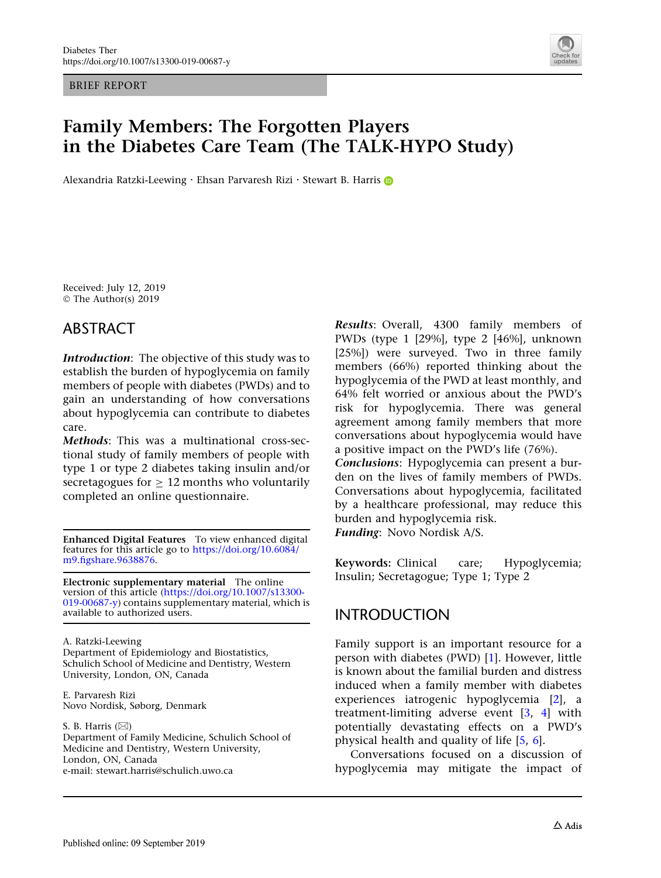BRIEF REPORT



# Family Members: The Forgotten Players in the Diabetes Care Team (The TALK-HYPO Study)

Alexandria Ratzki-Leewing · Eh[s](http://orcid.org/0000-0002-8282-5449)an Parvaresh Rizi · Stewart B. Harris

Received: July 12, 2019 © The Author(s) 2019

### ABSTRACT

Introduction: The objective of this study was to establish the burden of hypoglycemia on family members of people with diabetes (PWDs) and to gain an understanding of how conversations about hypoglycemia can contribute to diabetes care.

Methods: This was a multinational cross-sectional study of family members of people with type 1 or type 2 diabetes taking insulin and/or secretagogues for  $\geq 12$  months who voluntarily completed an online questionnaire.

Enhanced Digital Features To view enhanced digital features for this article go to [https://doi.org/10.6084/](https://doi.org/10.6084/m9.figshare.9638876) [m9.figshare.9638876.](https://doi.org/10.6084/m9.figshare.9638876)

Electronic supplementary material The online version of this article ([https://doi.org/10.1007/s13300-](https://doi.org/10.1007/s13300-019-00687-y) [019-00687-y](https://doi.org/10.1007/s13300-019-00687-y)) contains supplementary material, which is available to authorized users.

A. Ratzki-Leewing Department of Epidemiology and Biostatistics, Schulich School of Medicine and Dentistry, Western University, London, ON, Canada

E. Parvaresh Rizi Novo Nordisk, Søborg, Denmark

S. B. Harris  $(\boxtimes)$ 

Department of Family Medicine, Schulich School of Medicine and Dentistry, Western University, London, ON, Canada e-mail: stewart.harris@schulich.uwo.ca

Results: Overall, 4300 family members of PWDs (type 1 [29%], type 2 [46%], unknown [25%]) were surveyed. Two in three family members (66%) reported thinking about the hypoglycemia of the PWD at least monthly, and 64% felt worried or anxious about the PWD's risk for hypoglycemia. There was general agreement among family members that more conversations about hypoglycemia would have a positive impact on the PWD's life (76%). Conclusions: Hypoglycemia can present a bur-

den on the lives of family members of PWDs. Conversations about hypoglycemia, facilitated by a healthcare professional, may reduce this burden and hypoglycemia risk.

Funding: Novo Nordisk A/S.

Keywords: Clinical care; Hypoglycemia; Insulin; Secretagogue; Type 1; Type 2

## INTRODUCTION

Family support is an important resource for a person with diabetes (PWD) [[1\]](#page-6-0). However, little is known about the familial burden and distress induced when a family member with diabetes experiences iatrogenic hypoglycemia [\[2](#page-6-0)], a treatment-limiting adverse event [\[3](#page-6-0), [4](#page-6-0)] with potentially devastating effects on a PWD's physical health and quality of life [[5,](#page-6-0) [6\]](#page-6-0).

Conversations focused on a discussion of hypoglycemia may mitigate the impact of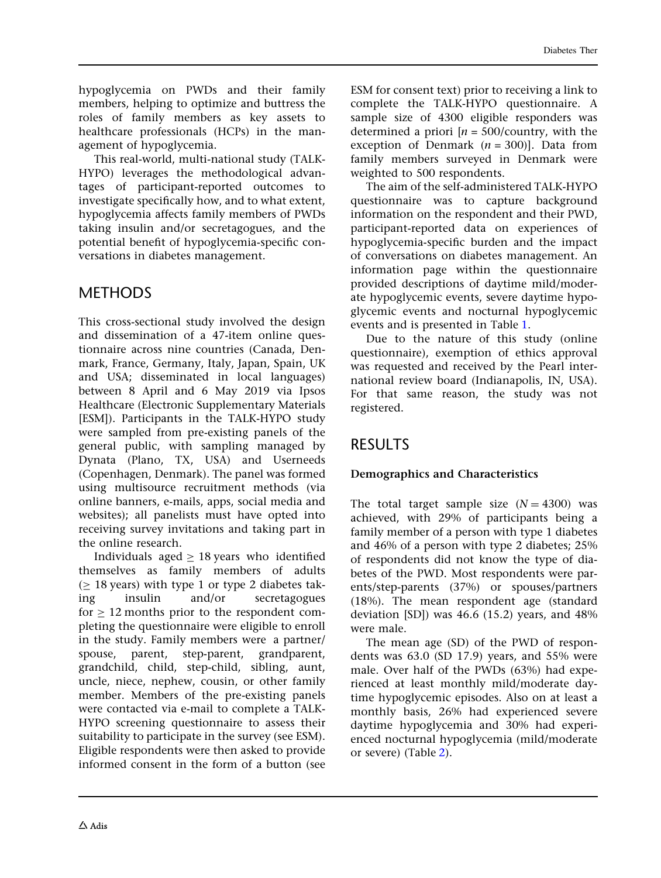hypoglycemia on PWDs and their family members, helping to optimize and buttress the roles of family members as key assets to healthcare professionals (HCPs) in the management of hypoglycemia.

This real-world, multi-national study (TALK-HYPO) leverages the methodological advantages of participant-reported outcomes to investigate specifically how, and to what extent, hypoglycemia affects family members of PWDs taking insulin and/or secretagogues, and the potential benefit of hypoglycemia-specific conversations in diabetes management.

## **METHODS**

This cross-sectional study involved the design and dissemination of a 47-item online questionnaire across nine countries (Canada, Denmark, France, Germany, Italy, Japan, Spain, UK and USA; disseminated in local languages) between 8 April and 6 May 2019 via Ipsos Healthcare (Electronic Supplementary Materials [ESM]). Participants in the TALK-HYPO study were sampled from pre-existing panels of the general public, with sampling managed by Dynata (Plano, TX, USA) and Userneeds (Copenhagen, Denmark). The panel was formed using multisource recruitment methods (via online banners, e-mails, apps, social media and websites); all panelists must have opted into receiving survey invitations and taking part in the online research.

Individuals aged  $\geq$  18 years who identified themselves as family members of adults  $($  18 years) with type 1 or type 2 diabetes taking insulin and/or secretagogues for  $\geq 12$  months prior to the respondent completing the questionnaire were eligible to enroll in the study. Family members were a partner/ spouse, parent, step-parent, grandparent, grandchild, child, step-child, sibling, aunt, uncle, niece, nephew, cousin, or other family member. Members of the pre-existing panels were contacted via e-mail to complete a TALK-HYPO screening questionnaire to assess their suitability to participate in the survey (see ESM). Eligible respondents were then asked to provide informed consent in the form of a button (see

ESM for consent text) prior to receiving a link to complete the TALK-HYPO questionnaire. A sample size of 4300 eligible responders was determined a priori  $[n = 500$ /country, with the exception of Denmark  $(n = 300)$ ]. Data from family members surveyed in Denmark were weighted to 500 respondents.

The aim of the self-administered TALK-HYPO questionnaire was to capture background information on the respondent and their PWD, participant-reported data on experiences of hypoglycemia-specific burden and the impact of conversations on diabetes management. An information page within the questionnaire provided descriptions of daytime mild/moderate hypoglycemic events, severe daytime hypoglycemic events and nocturnal hypoglycemic events and is presented in Table [1.](#page-2-0)

Due to the nature of this study (online questionnaire), exemption of ethics approval was requested and received by the Pearl international review board (Indianapolis, IN, USA). For that same reason, the study was not registered.

## RESULTS

#### Demographics and Characteristics

The total target sample size  $(N = 4300)$  was achieved, with 29% of participants being a family member of a person with type 1 diabetes and 46% of a person with type 2 diabetes; 25% of respondents did not know the type of diabetes of the PWD. Most respondents were parents/step-parents (37%) or spouses/partners (18%). The mean respondent age (standard deviation [SD]) was 46.6 (15.2) years, and 48% were male.

The mean age (SD) of the PWD of respondents was 63.0 (SD 17.9) years, and 55% were male. Over half of the PWDs (63%) had experienced at least monthly mild/moderate daytime hypoglycemic episodes. Also on at least a monthly basis, 26% had experienced severe daytime hypoglycemia and 30% had experienced nocturnal hypoglycemia (mild/moderate or severe) (Table [2](#page-3-0)).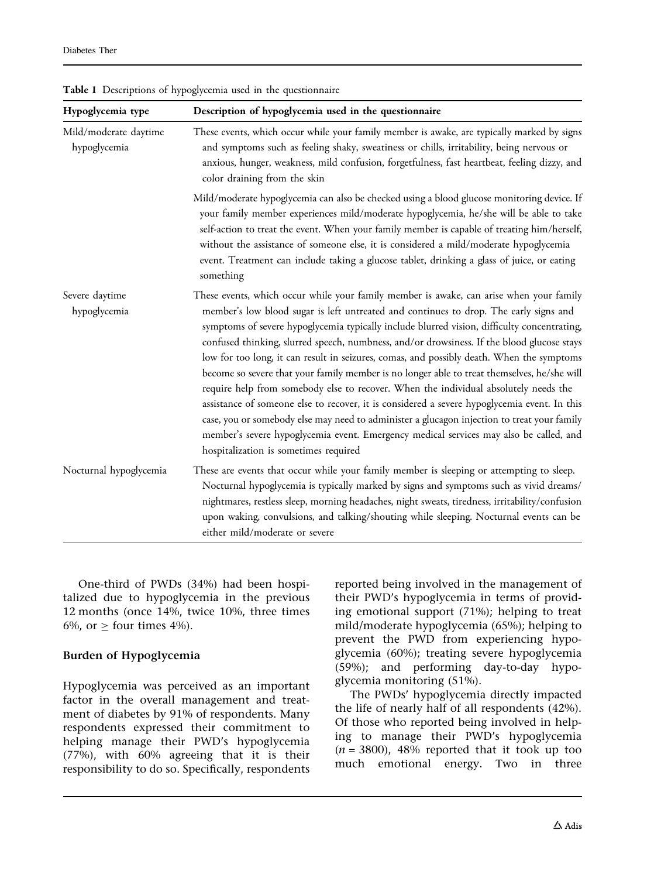| Hypoglycemia type                     | Description of hypoglycemia used in the questionnaire                                                                                                                                                                                                                                                                                                                                                                                                                                                                                                                                                                                                                                                                                                                                                                                                                                                                                                                                               |  |  |
|---------------------------------------|-----------------------------------------------------------------------------------------------------------------------------------------------------------------------------------------------------------------------------------------------------------------------------------------------------------------------------------------------------------------------------------------------------------------------------------------------------------------------------------------------------------------------------------------------------------------------------------------------------------------------------------------------------------------------------------------------------------------------------------------------------------------------------------------------------------------------------------------------------------------------------------------------------------------------------------------------------------------------------------------------------|--|--|
| Mild/moderate daytime<br>hypoglycemia | These events, which occur while your family member is awake, are typically marked by signs<br>and symptoms such as feeling shaky, sweatiness or chills, irritability, being nervous or<br>anxious, hunger, weakness, mild confusion, forgetfulness, fast heartbeat, feeling dizzy, and<br>color draining from the skin                                                                                                                                                                                                                                                                                                                                                                                                                                                                                                                                                                                                                                                                              |  |  |
|                                       | Mild/moderate hypoglycemia can also be checked using a blood glucose monitoring device. If<br>your family member experiences mild/moderate hypoglycemia, he/she will be able to take<br>self-action to treat the event. When your family member is capable of treating him/herself,<br>without the assistance of someone else, it is considered a mild/moderate hypoglycemia<br>event. Treatment can include taking a glucose tablet, drinking a glass of juice, or eating<br>something                                                                                                                                                                                                                                                                                                                                                                                                                                                                                                             |  |  |
| Severe daytime<br>hypoglycemia        | These events, which occur while your family member is awake, can arise when your family<br>member's low blood sugar is left untreated and continues to drop. The early signs and<br>symptoms of severe hypoglycemia typically include blurred vision, difficulty concentrating,<br>confused thinking, slurred speech, numbness, and/or drowsiness. If the blood glucose stays<br>low for too long, it can result in seizures, comas, and possibly death. When the symptoms<br>become so severe that your family member is no longer able to treat themselves, he/she will<br>require help from somebody else to recover. When the individual absolutely needs the<br>assistance of someone else to recover, it is considered a severe hypoglycemia event. In this<br>case, you or somebody else may need to administer a glucagon injection to treat your family<br>member's severe hypoglycemia event. Emergency medical services may also be called, and<br>hospitalization is sometimes required |  |  |
| Nocturnal hypoglycemia                | These are events that occur while your family member is sleeping or attempting to sleep.<br>Nocturnal hypoglycemia is typically marked by signs and symptoms such as vivid dreams/<br>nightmares, restless sleep, morning headaches, night sweats, tiredness, irritability/confusion<br>upon waking, convulsions, and talking/shouting while sleeping. Nocturnal events can be<br>either mild/moderate or severe                                                                                                                                                                                                                                                                                                                                                                                                                                                                                                                                                                                    |  |  |

<span id="page-2-0"></span>Table 1 Descriptions of hypoglycemia used in the questionnaire

One-third of PWDs (34%) had been hospitalized due to hypoglycemia in the previous 12 months (once 14%, twice 10%, three times 6%, or  $\geq$  four times 4%).

#### Burden of Hypoglycemia

Hypoglycemia was perceived as an important factor in the overall management and treatment of diabetes by 91% of respondents. Many respondents expressed their commitment to helping manage their PWD's hypoglycemia (77%), with 60% agreeing that it is their responsibility to do so. Specifically, respondents reported being involved in the management of their PWD's hypoglycemia in terms of providing emotional support (71%); helping to treat mild/moderate hypoglycemia (65%); helping to prevent the PWD from experiencing hypoglycemia (60%); treating severe hypoglycemia (59%); and performing day-to-day hypoglycemia monitoring (51%).

The PWDs' hypoglycemia directly impacted the life of nearly half of all respondents (42%). Of those who reported being involved in helping to manage their PWD's hypoglycemia  $(n = 3800)$ , 48% reported that it took up too much emotional energy. Two in three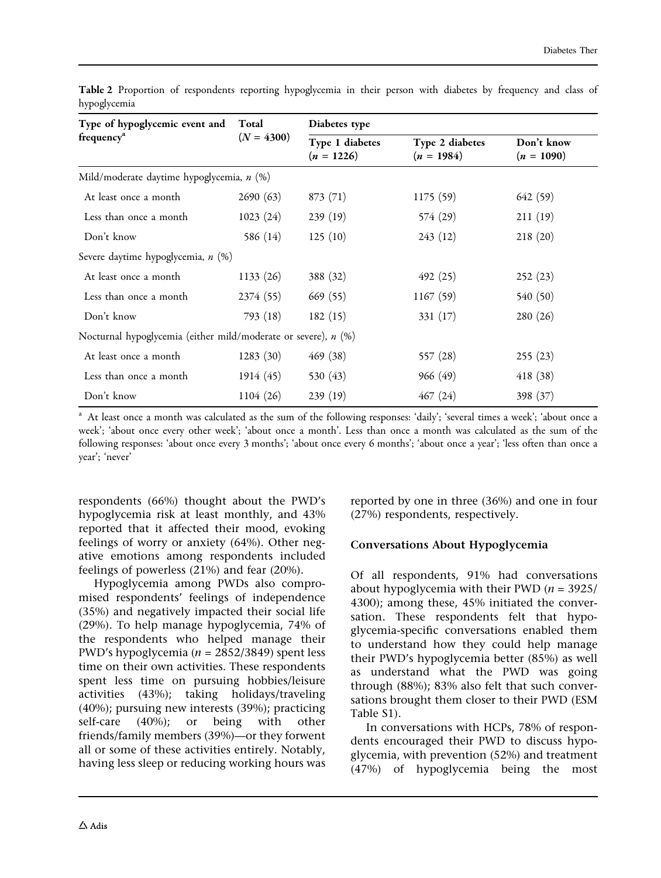| Type of hypoglycemic event and Total                           | $(N = 4300)$ | Diabetes type                   |                                 |                            |
|----------------------------------------------------------------|--------------|---------------------------------|---------------------------------|----------------------------|
| frequency <sup>a</sup>                                         |              | Type 1 diabetes<br>$(n = 1226)$ | Type 2 diabetes<br>$(n = 1984)$ | Don't know<br>$(n = 1090)$ |
| Mild/moderate daytime hypoglycemia, n (%)                      |              |                                 |                                 |                            |
| At least once a month                                          | 2690(63)     | 873(71)                         | 1175(59)                        | 642 (59)                   |
| Less than once a month                                         | 1023(24)     | 239(19)                         | 574 (29)                        | 211(19)                    |
| Don't know                                                     | 586 (14)     | 125(10)                         | 243(12)                         | 218(20)                    |
| Severe daytime hypoglycemia, n (%)                             |              |                                 |                                 |                            |
| At least once a month                                          | 1133(26)     | 388 (32)                        | 492(25)                         | 252(23)                    |
| Less than once a month                                         | 2374(55)     | 669(55)                         | 1167(59)                        | 540 (50)                   |
| Don't know                                                     | 793(18)      | 182(15)                         | 331(17)                         | 280 (26)                   |
| Nocturnal hypoglycemia (either mild/moderate or severe), n (%) |              |                                 |                                 |                            |
| At least once a month                                          | 1283(30)     | 469 (38)                        | 557 (28)                        | 255(23)                    |
| Less than once a month                                         | 1914(45)     | 530 (43)                        | 966 (49)                        | 418(38)                    |
| Don't know                                                     | 1104(26)     | 239(19)                         | 467(24)                         | 398 (37)                   |

<span id="page-3-0"></span>Table 2 Proportion of respondents reporting hypoglycemia in their person with diabetes by frequency and class of hypoglycemia

<sup>a</sup> At least once a month was calculated as the sum of the following responses: 'daily'; 'several times a week'; 'about once a week'; 'about once every other week'; 'about once a month'. Less than once a month was calculated as the sum of the following responses: 'about once every 3 months'; 'about once every 6 months'; 'about once a year'; 'less often than once a year'; 'never'

respondents (66%) thought about the PWD's hypoglycemia risk at least monthly, and 43% reported that it affected their mood, evoking feelings of worry or anxiety (64%). Other negative emotions among respondents included feelings of powerless (21%) and fear (20%).

Hypoglycemia among PWDs also compromised respondents' feelings of independence (35%) and negatively impacted their social life (29%). To help manage hypoglycemia, 74% of the respondents who helped manage their PWD's hypoglycemia ( $n = 2852/3849$ ) spent less time on their own activities. These respondents spent less time on pursuing hobbies/leisure activities (43%); taking holidays/traveling (40%); pursuing new interests (39%); practicing self-care (40%); or being with other friends/family members (39%)—or they forwent all or some of these activities entirely. Notably, having less sleep or reducing working hours was

reported by one in three (36%) and one in four (27%) respondents, respectively.

#### Conversations About Hypoglycemia

Of all respondents, 91% had conversations about hypoglycemia with their PWD ( $n = 3925/$ 4300); among these, 45% initiated the conversation. These respondents felt that hypoglycemia-specific conversations enabled them to understand how they could help manage their PWD's hypoglycemia better (85%) as well as understand what the PWD was going through (88%); 83% also felt that such conversations brought them closer to their PWD (ESM Table S1).

In conversations with HCPs, 78% of respondents encouraged their PWD to discuss hypoglycemia, with prevention (52%) and treatment (47%) of hypoglycemia being the most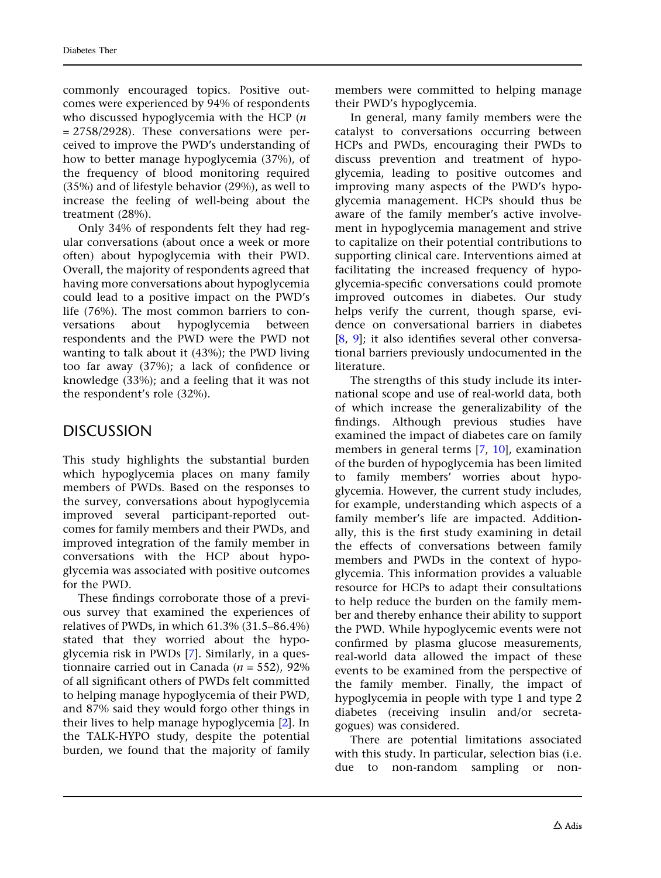commonly encouraged topics. Positive outcomes were experienced by 94% of respondents who discussed hypoglycemia with the HCP  $(n)$  $= 2758/2928$ ). These conversations were perceived to improve the PWD's understanding of how to better manage hypoglycemia (37%), of the frequency of blood monitoring required (35%) and of lifestyle behavior (29%), as well to increase the feeling of well-being about the treatment (28%).

Only 34% of respondents felt they had regular conversations (about once a week or more often) about hypoglycemia with their PWD. Overall, the majority of respondents agreed that having more conversations about hypoglycemia could lead to a positive impact on the PWD's life (76%). The most common barriers to conversations about hypoglycemia between respondents and the PWD were the PWD not wanting to talk about it (43%); the PWD living too far away (37%); a lack of confidence or knowledge (33%); and a feeling that it was not the respondent's role (32%).

## DISCUSSION

This study highlights the substantial burden which hypoglycemia places on many family members of PWDs. Based on the responses to the survey, conversations about hypoglycemia improved several participant-reported outcomes for family members and their PWDs, and improved integration of the family member in conversations with the HCP about hypoglycemia was associated with positive outcomes for the PWD.

These findings corroborate those of a previous survey that examined the experiences of relatives of PWDs, in which 61.3% (31.5–86.4%) stated that they worried about the hypoglycemia risk in PWDs [[7](#page-6-0)]. Similarly, in a questionnaire carried out in Canada ( $n = 552$ ), 92% of all significant others of PWDs felt committed to helping manage hypoglycemia of their PWD, and 87% said they would forgo other things in their lives to help manage hypoglycemia [\[2\]](#page-6-0). In the TALK-HYPO study, despite the potential burden, we found that the majority of family members were committed to helping manage their PWD's hypoglycemia.

In general, many family members were the catalyst to conversations occurring between HCPs and PWDs, encouraging their PWDs to discuss prevention and treatment of hypoglycemia, leading to positive outcomes and improving many aspects of the PWD's hypoglycemia management. HCPs should thus be aware of the family member's active involvement in hypoglycemia management and strive to capitalize on their potential contributions to supporting clinical care. Interventions aimed at facilitating the increased frequency of hypoglycemia-specific conversations could promote improved outcomes in diabetes. Our study helps verify the current, though sparse, evidence on conversational barriers in diabetes [\[8,](#page-6-0) [9\]](#page-6-0); it also identifies several other conversational barriers previously undocumented in the literature.

The strengths of this study include its international scope and use of real-world data, both of which increase the generalizability of the findings. Although previous studies have examined the impact of diabetes care on family members in general terms [[7](#page-6-0), [10](#page-6-0)], examination of the burden of hypoglycemia has been limited to family members' worries about hypoglycemia. However, the current study includes, for example, understanding which aspects of a family member's life are impacted. Additionally, this is the first study examining in detail the effects of conversations between family members and PWDs in the context of hypoglycemia. This information provides a valuable resource for HCPs to adapt their consultations to help reduce the burden on the family member and thereby enhance their ability to support the PWD. While hypoglycemic events were not confirmed by plasma glucose measurements, real-world data allowed the impact of these events to be examined from the perspective of the family member. Finally, the impact of hypoglycemia in people with type 1 and type 2 diabetes (receiving insulin and/or secretagogues) was considered.

There are potential limitations associated with this study. In particular, selection bias (i.e. due to non-random sampling or non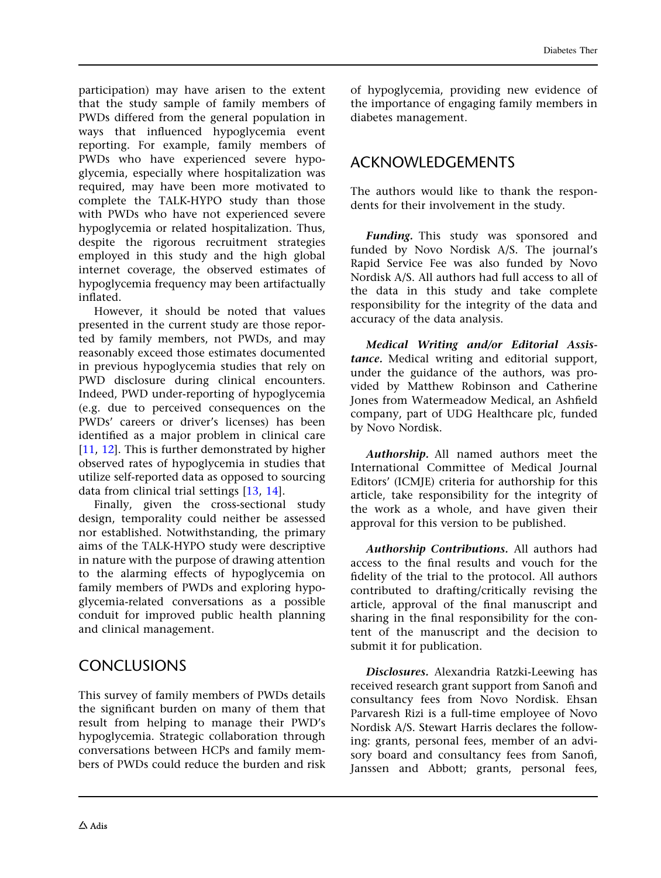participation) may have arisen to the extent that the study sample of family members of PWDs differed from the general population in ways that influenced hypoglycemia event reporting. For example, family members of PWDs who have experienced severe hypoglycemia, especially where hospitalization was required, may have been more motivated to complete the TALK-HYPO study than those with PWDs who have not experienced severe hypoglycemia or related hospitalization. Thus, despite the rigorous recruitment strategies employed in this study and the high global internet coverage, the observed estimates of hypoglycemia frequency may been artifactually inflated.

However, it should be noted that values presented in the current study are those reported by family members, not PWDs, and may reasonably exceed those estimates documented in previous hypoglycemia studies that rely on PWD disclosure during clinical encounters. Indeed, PWD under-reporting of hypoglycemia (e.g. due to perceived consequences on the PWDs' careers or driver's licenses) has been identified as a major problem in clinical care [\[11,](#page-6-0) [12](#page-6-0)]. This is further demonstrated by higher observed rates of hypoglycemia in studies that utilize self-reported data as opposed to sourcing data from clinical trial settings [[13](#page-6-0), [14](#page-6-0)].

Finally, given the cross-sectional study design, temporality could neither be assessed nor established. Notwithstanding, the primary aims of the TALK-HYPO study were descriptive in nature with the purpose of drawing attention to the alarming effects of hypoglycemia on family members of PWDs and exploring hypoglycemia-related conversations as a possible conduit for improved public health planning and clinical management.

## **CONCLUSIONS**

This survey of family members of PWDs details the significant burden on many of them that result from helping to manage their PWD's hypoglycemia. Strategic collaboration through conversations between HCPs and family members of PWDs could reduce the burden and risk

of hypoglycemia, providing new evidence of the importance of engaging family members in diabetes management.

## ACKNOWLEDGEMENTS

The authors would like to thank the respondents for their involvement in the study.

Funding. This study was sponsored and funded by Novo Nordisk A/S. The journal's Rapid Service Fee was also funded by Novo Nordisk A/S. All authors had full access to all of the data in this study and take complete responsibility for the integrity of the data and accuracy of the data analysis.

Medical Writing and/or Editorial Assistance. Medical writing and editorial support, under the guidance of the authors, was provided by Matthew Robinson and Catherine Jones from Watermeadow Medical, an Ashfield company, part of UDG Healthcare plc, funded by Novo Nordisk.

Authorship. All named authors meet the International Committee of Medical Journal Editors' (ICMJE) criteria for authorship for this article, take responsibility for the integrity of the work as a whole, and have given their approval for this version to be published.

Authorship Contributions. All authors had access to the final results and vouch for the fidelity of the trial to the protocol. All authors contributed to drafting/critically revising the article, approval of the final manuscript and sharing in the final responsibility for the content of the manuscript and the decision to submit it for publication.

Disclosures. Alexandria Ratzki-Leewing has received research grant support from Sanofi and consultancy fees from Novo Nordisk. Ehsan Parvaresh Rizi is a full-time employee of Novo Nordisk A/S. Stewart Harris declares the following: grants, personal fees, member of an advisory board and consultancy fees from Sanofi, Janssen and Abbott; grants, personal fees,